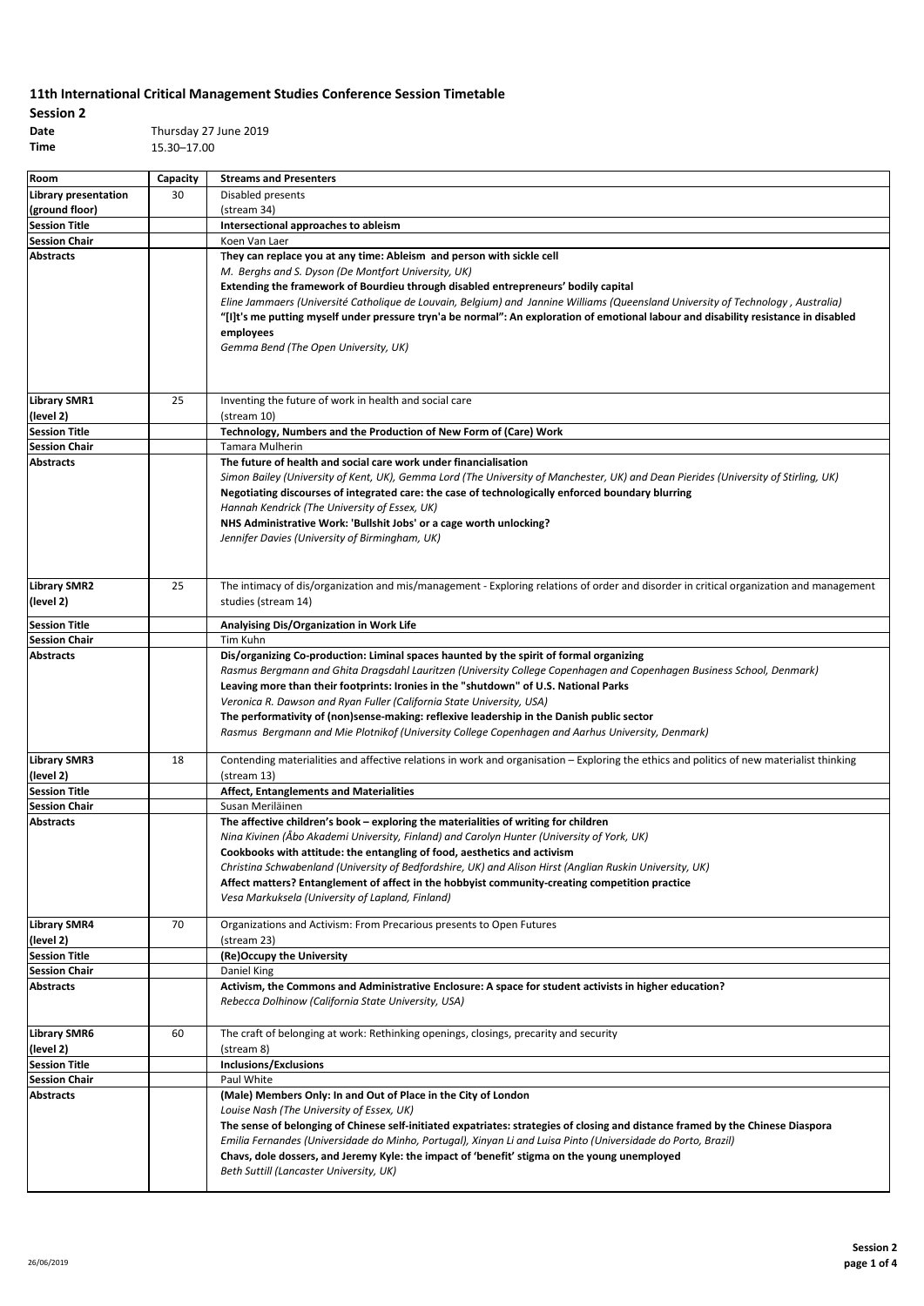## **Session 2**

**Date** Thursday 27 June 2019 **Time** 15.30–17.00

| Room                             | Capacity | <b>Streams and Presenters</b>                                                                                                                                                                                                                                                                                                                                                                                                                                                                                                                                                      |
|----------------------------------|----------|------------------------------------------------------------------------------------------------------------------------------------------------------------------------------------------------------------------------------------------------------------------------------------------------------------------------------------------------------------------------------------------------------------------------------------------------------------------------------------------------------------------------------------------------------------------------------------|
| <b>Library presentation</b>      | 30       | Disabled presents                                                                                                                                                                                                                                                                                                                                                                                                                                                                                                                                                                  |
| (ground floor)                   |          | (stream 34)                                                                                                                                                                                                                                                                                                                                                                                                                                                                                                                                                                        |
| <b>Session Title</b>             |          | Intersectional approaches to ableism                                                                                                                                                                                                                                                                                                                                                                                                                                                                                                                                               |
| <b>Session Chair</b>             |          | Koen Van Laer                                                                                                                                                                                                                                                                                                                                                                                                                                                                                                                                                                      |
| <b>Abstracts</b>                 |          | They can replace you at any time: Ableism and person with sickle cell<br>M. Berghs and S. Dyson (De Montfort University, UK)<br>Extending the framework of Bourdieu through disabled entrepreneurs' bodily capital<br>Eline Jammaers (Université Catholique de Louvain, Belgium) and Jannine Williams (Queensland University of Technology, Australia)<br>"[I]t's me putting myself under pressure tryn'a be normal": An exploration of emotional labour and disability resistance in disabled<br>employees<br>Gemma Bend (The Open University, UK)                                |
| <b>Library SMR1</b><br>(level 2) | 25       | Inventing the future of work in health and social care<br>(stream 10)                                                                                                                                                                                                                                                                                                                                                                                                                                                                                                              |
| <b>Session Title</b>             |          | Technology, Numbers and the Production of New Form of (Care) Work                                                                                                                                                                                                                                                                                                                                                                                                                                                                                                                  |
| <b>Session Chair</b>             |          | Tamara Mulherin                                                                                                                                                                                                                                                                                                                                                                                                                                                                                                                                                                    |
| Abstracts                        |          | The future of health and social care work under financialisation<br>Simon Bailey (University of Kent, UK), Gemma Lord (The University of Manchester, UK) and Dean Pierides (University of Stirling, UK)<br>Negotiating discourses of integrated care: the case of technologically enforced boundary blurring<br>Hannah Kendrick (The University of Essex, UK)<br>NHS Administrative Work: 'Bullshit Jobs' or a cage worth unlocking?<br>Jennifer Davies (University of Birmingham, UK)                                                                                             |
| <b>Library SMR2</b><br>(level 2) | 25       | The intimacy of dis/organization and mis/management - Exploring relations of order and disorder in critical organization and management<br>studies (stream 14)                                                                                                                                                                                                                                                                                                                                                                                                                     |
| <b>Session Title</b>             |          | Analyising Dis/Organization in Work Life                                                                                                                                                                                                                                                                                                                                                                                                                                                                                                                                           |
| <b>Session Chair</b>             |          | Tim Kuhn                                                                                                                                                                                                                                                                                                                                                                                                                                                                                                                                                                           |
| <b>Abstracts</b>                 |          | Dis/organizing Co-production: Liminal spaces haunted by the spirit of formal organizing<br>Rasmus Bergmann and Ghita Dragsdahl Lauritzen (University College Copenhagen and Copenhagen Business School, Denmark)<br>Leaving more than their footprints: Ironies in the "shutdown" of U.S. National Parks<br>Veronica R. Dawson and Ryan Fuller (California State University, USA)<br>The performativity of (non)sense-making: reflexive leadership in the Danish public sector<br>Rasmus Bergmann and Mie Plotnikof (University College Copenhagen and Aarhus University, Denmark) |
| <b>Library SMR3</b>              | 18       | Contending materialities and affective relations in work and organisation – Exploring the ethics and politics of new materialist thinking                                                                                                                                                                                                                                                                                                                                                                                                                                          |
| (level 2)                        |          | (stream 13)                                                                                                                                                                                                                                                                                                                                                                                                                                                                                                                                                                        |
| <b>Session Title</b>             |          | <b>Affect, Entanglements and Materialities</b>                                                                                                                                                                                                                                                                                                                                                                                                                                                                                                                                     |
| <b>Session Chair</b>             |          | Susan Meriläinen                                                                                                                                                                                                                                                                                                                                                                                                                                                                                                                                                                   |
| <b>Abstracts</b>                 |          | The affective children's book - exploring the materialities of writing for children<br>Nina Kivinen (Åbo Akademi University, Finland) and Carolyn Hunter (University of York, UK)<br>Cookbooks with attitude: the entangling of food, aesthetics and activism<br>Christina Schwabenland (University of Bedfordshire, UK) and Alison Hirst (Anglian Ruskin University, UK)<br>Affect matters? Entanglement of affect in the hobbyist community-creating competition practice<br>Vesa Markuksela (University of Lapland, Finland)                                                    |
| <b>Library SMR4</b><br>(level 2) | 70       | Organizations and Activism: From Precarious presents to Open Futures<br>(stream 23)                                                                                                                                                                                                                                                                                                                                                                                                                                                                                                |
| <b>Session Title</b>             |          | (Re)Occupy the University                                                                                                                                                                                                                                                                                                                                                                                                                                                                                                                                                          |
| <b>Session Chair</b>             |          | Daniel King                                                                                                                                                                                                                                                                                                                                                                                                                                                                                                                                                                        |
| <b>Abstracts</b>                 |          | Activism, the Commons and Administrative Enclosure: A space for student activists in higher education?<br>Rebecca Dolhinow (California State University, USA)                                                                                                                                                                                                                                                                                                                                                                                                                      |
| <b>Library SMR6</b><br>(level 2) | 60       | The craft of belonging at work: Rethinking openings, closings, precarity and security<br>(stream 8)                                                                                                                                                                                                                                                                                                                                                                                                                                                                                |
| <b>Session Title</b>             |          | <b>Inclusions/Exclusions</b>                                                                                                                                                                                                                                                                                                                                                                                                                                                                                                                                                       |
| <b>Session Chair</b>             |          | Paul White                                                                                                                                                                                                                                                                                                                                                                                                                                                                                                                                                                         |
| Abstracts                        |          | (Male) Members Only: In and Out of Place in the City of London<br>Louise Nash (The University of Essex, UK)<br>The sense of belonging of Chinese self-initiated expatriates: strategies of closing and distance framed by the Chinese Diaspora<br>Emilia Fernandes (Universidade do Minho, Portugal), Xinyan Li and Luisa Pinto (Universidade do Porto, Brazil)<br>Chavs, dole dossers, and Jeremy Kyle: the impact of 'benefit' stigma on the young unemployed<br>Beth Suttill (Lancaster University, UK)                                                                         |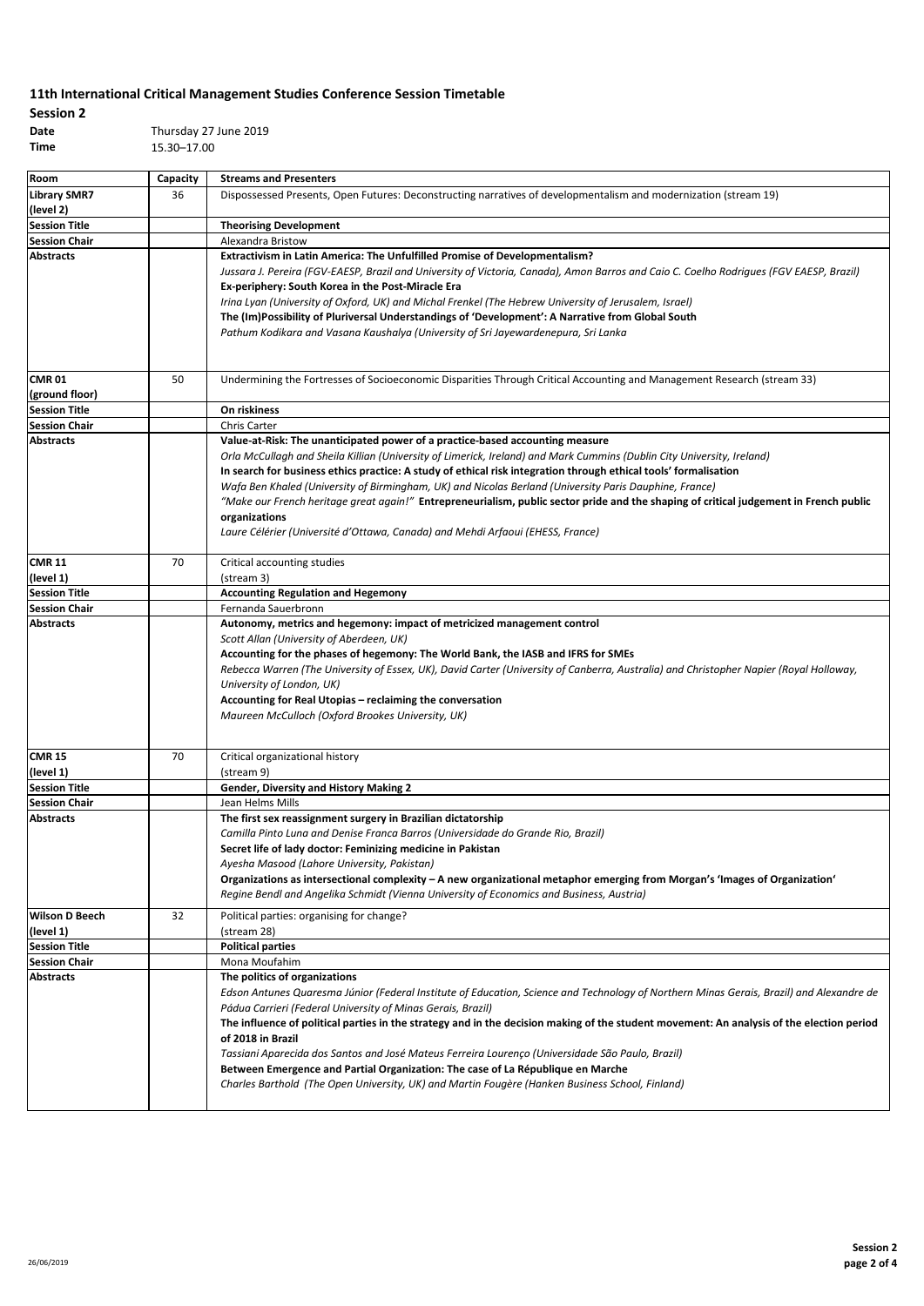# **Session 2**

**Date** Thursday 27 June 2019 **Time** 15.30–17.00

| Room                             | Capacity | <b>Streams and Presenters</b>                                                                                                                                                                                                                                                                                                                                                                                                                                                                                                                                                                                                                                                                        |
|----------------------------------|----------|------------------------------------------------------------------------------------------------------------------------------------------------------------------------------------------------------------------------------------------------------------------------------------------------------------------------------------------------------------------------------------------------------------------------------------------------------------------------------------------------------------------------------------------------------------------------------------------------------------------------------------------------------------------------------------------------------|
| <b>Library SMR7</b><br>(level 2) | 36       | Dispossessed Presents, Open Futures: Deconstructing narratives of developmentalism and modernization (stream 19)                                                                                                                                                                                                                                                                                                                                                                                                                                                                                                                                                                                     |
| <b>Session Title</b>             |          | <b>Theorising Development</b>                                                                                                                                                                                                                                                                                                                                                                                                                                                                                                                                                                                                                                                                        |
| <b>Session Chair</b>             |          | Alexandra Bristow                                                                                                                                                                                                                                                                                                                                                                                                                                                                                                                                                                                                                                                                                    |
| <b>Abstracts</b>                 |          | <b>Extractivism in Latin America: The Unfulfilled Promise of Developmentalism?</b><br>Jussara J. Pereira (FGV-EAESP, Brazil and University of Victoria, Canada), Amon Barros and Caio C. Coelho Rodrigues (FGV EAESP, Brazil)<br>Ex-periphery: South Korea in the Post-Miracle Era<br>Irina Lyan (University of Oxford, UK) and Michal Frenkel (The Hebrew University of Jerusalem, Israel)<br>The (Im)Possibility of Pluriversal Understandings of 'Development': A Narrative from Global South<br>Pathum Kodikara and Vasana Kaushalya (University of Sri Jayewardenepura, Sri Lanka                                                                                                               |
| <b>CMR 01</b><br>(ground floor)  | 50       | Undermining the Fortresses of Socioeconomic Disparities Through Critical Accounting and Management Research (stream 33)                                                                                                                                                                                                                                                                                                                                                                                                                                                                                                                                                                              |
| <b>Session Title</b>             |          | On riskiness                                                                                                                                                                                                                                                                                                                                                                                                                                                                                                                                                                                                                                                                                         |
| <b>Session Chair</b>             |          | <b>Chris Carter</b>                                                                                                                                                                                                                                                                                                                                                                                                                                                                                                                                                                                                                                                                                  |
| <b>Abstracts</b>                 |          | Value-at-Risk: The unanticipated power of a practice-based accounting measure<br>Orla McCullagh and Sheila Killian (University of Limerick, Ireland) and Mark Cummins (Dublin City University, Ireland)<br>In search for business ethics practice: A study of ethical risk integration through ethical tools' formalisation<br>Wafa Ben Khaled (University of Birmingham, UK) and Nicolas Berland (University Paris Dauphine, France)<br>"Make our French heritage great again!" Entrepreneurialism, public sector pride and the shaping of critical judgement in French public<br>organizations<br>Laure Célérier (Université d'Ottawa, Canada) and Mehdi Arfaoui (EHESS, France)                   |
| <b>CMR 11</b><br>(level 1)       | 70       | Critical accounting studies<br>(stream 3)                                                                                                                                                                                                                                                                                                                                                                                                                                                                                                                                                                                                                                                            |
| <b>Session Title</b>             |          | <b>Accounting Regulation and Hegemony</b>                                                                                                                                                                                                                                                                                                                                                                                                                                                                                                                                                                                                                                                            |
| <b>Session Chair</b>             |          | Fernanda Sauerbronn                                                                                                                                                                                                                                                                                                                                                                                                                                                                                                                                                                                                                                                                                  |
| <b>Abstracts</b>                 |          | Autonomy, metrics and hegemony: impact of metricized management control<br>Scott Allan (University of Aberdeen, UK)<br>Accounting for the phases of hegemony: The World Bank, the IASB and IFRS for SMEs<br>Rebecca Warren (The University of Essex, UK), David Carter (University of Canberra, Australia) and Christopher Napier (Royal Holloway,<br>University of London, UK)<br>Accounting for Real Utopias - reclaiming the conversation<br>Maureen McCulloch (Oxford Brookes University, UK)                                                                                                                                                                                                    |
| <b>CMR 15</b>                    | 70       | Critical organizational history                                                                                                                                                                                                                                                                                                                                                                                                                                                                                                                                                                                                                                                                      |
| (level 1)                        |          | (stream 9)                                                                                                                                                                                                                                                                                                                                                                                                                                                                                                                                                                                                                                                                                           |
| <b>Session Title</b>             |          | Gender, Diversity and History Making 2                                                                                                                                                                                                                                                                                                                                                                                                                                                                                                                                                                                                                                                               |
| <b>Session Chair</b>             |          | Jean Helms Mills                                                                                                                                                                                                                                                                                                                                                                                                                                                                                                                                                                                                                                                                                     |
| <b>Abstracts</b>                 |          | The first sex reassignment surgery in Brazilian dictatorship<br>Camilla Pinto Luna and Denise Franca Barros (Universidade do Grande Rio, Brazil)<br>Secret life of lady doctor: Feminizing medicine in Pakistan<br>Ayesha Masood (Lahore University, Pakistan)<br>Organizations as intersectional complexity - A new organizational metaphor emerging from Morgan's 'Images of Organization'<br>Regine Bendl and Angelika Schmidt (Vienna University of Economics and Business, Austria)                                                                                                                                                                                                             |
| <b>Wilson D Beech</b>            | 32       | Political parties: organising for change?                                                                                                                                                                                                                                                                                                                                                                                                                                                                                                                                                                                                                                                            |
| (level 1)                        |          | (stream 28)                                                                                                                                                                                                                                                                                                                                                                                                                                                                                                                                                                                                                                                                                          |
| <b>Session Title</b>             |          | <b>Political parties</b>                                                                                                                                                                                                                                                                                                                                                                                                                                                                                                                                                                                                                                                                             |
| <b>Session Chair</b>             |          | Mona Moufahim                                                                                                                                                                                                                                                                                                                                                                                                                                                                                                                                                                                                                                                                                        |
| <b>Abstracts</b>                 |          | The politics of organizations<br>Edson Antunes Quaresma Júnior (Federal Institute of Education, Science and Technology of Northern Minas Gerais, Brazil) and Alexandre de<br>Pádua Carrieri (Federal University of Minas Gerais, Brazil)<br>The influence of political parties in the strategy and in the decision making of the student movement: An analysis of the election period<br>of 2018 in Brazil<br>Tassiani Aparecida dos Santos and José Mateus Ferreira Lourenço (Universidade São Paulo, Brazil)<br>Between Emergence and Partial Organization: The case of La République en Marche<br>Charles Barthold (The Open University, UK) and Martin Fougère (Hanken Business School, Finland) |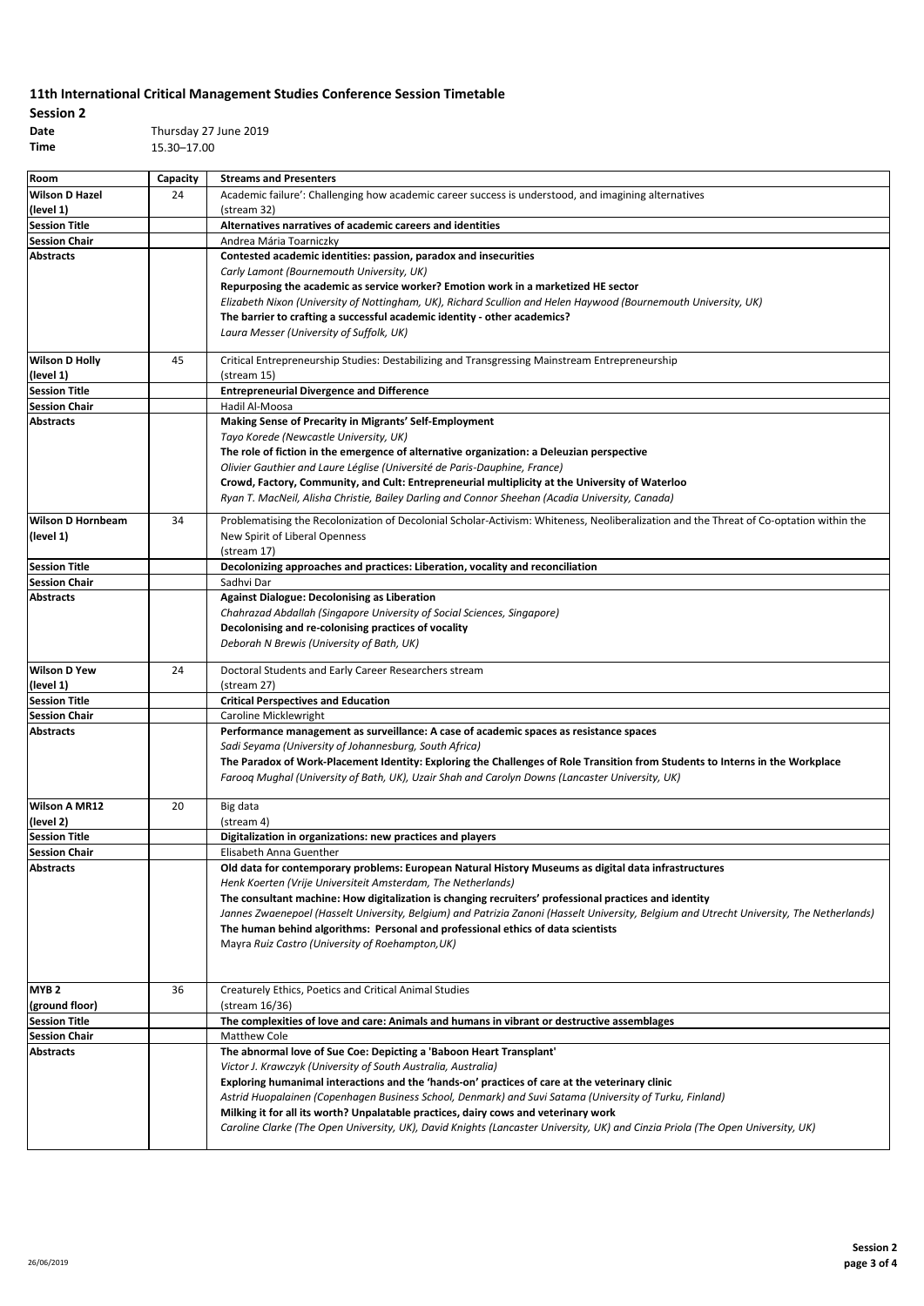| <b>Session 2</b> |             |
|------------------|-------------|
| Date             | Thursday 27 |
| Time             | 15.30-17.00 |

**Date** Thursday 27 June 2019

| Room                                     | Capacity | <b>Streams and Presenters</b>                                                                                                                                                                |  |
|------------------------------------------|----------|----------------------------------------------------------------------------------------------------------------------------------------------------------------------------------------------|--|
| <b>Wilson D Hazel</b>                    | 24       | Academic failure': Challenging how academic career success is understood, and imagining alternatives                                                                                         |  |
| (level 1)                                |          | (stream 32)                                                                                                                                                                                  |  |
| <b>Session Title</b>                     |          | Alternatives narratives of academic careers and identities                                                                                                                                   |  |
| <b>Session Chair</b>                     |          | Andrea Mária Toarniczky                                                                                                                                                                      |  |
| <b>Abstracts</b>                         |          | Contested academic identities: passion, paradox and insecurities                                                                                                                             |  |
|                                          |          | Carly Lamont (Bournemouth University, UK)                                                                                                                                                    |  |
|                                          |          | Repurposing the academic as service worker? Emotion work in a marketized HE sector                                                                                                           |  |
|                                          |          | Elizabeth Nixon (University of Nottingham, UK), Richard Scullion and Helen Haywood (Bournemouth University, UK)<br>The barrier to crafting a successful academic identity - other academics? |  |
|                                          |          | Laura Messer (University of Suffolk, UK)                                                                                                                                                     |  |
|                                          |          |                                                                                                                                                                                              |  |
| <b>Wilson D Holly</b><br>(level 1)       | 45       | Critical Entrepreneurship Studies: Destabilizing and Transgressing Mainstream Entrepreneurship<br>(stream 15)                                                                                |  |
| <b>Session Title</b>                     |          | <b>Entrepreneurial Divergence and Difference</b>                                                                                                                                             |  |
| <b>Session Chair</b>                     |          | Hadil Al-Moosa                                                                                                                                                                               |  |
| <b>Abstracts</b>                         |          | Making Sense of Precarity in Migrants' Self-Employment                                                                                                                                       |  |
|                                          |          | Tayo Korede (Newcastle University, UK)                                                                                                                                                       |  |
|                                          |          | The role of fiction in the emergence of alternative organization: a Deleuzian perspective                                                                                                    |  |
|                                          |          | Olivier Gauthier and Laure Léglise (Université de Paris-Dauphine, France)                                                                                                                    |  |
|                                          |          | Crowd, Factory, Community, and Cult: Entrepreneurial multiplicity at the University of Waterloo                                                                                              |  |
|                                          |          | Ryan T. MacNeil, Alisha Christie, Bailey Darling and Connor Sheehan (Acadia University, Canada)                                                                                              |  |
| <b>Wilson D Hornbeam</b>                 | 34       | Problematising the Recolonization of Decolonial Scholar-Activism: Whiteness, Neoliberalization and the Threat of Co-optation within the                                                      |  |
| (level 1)                                |          | New Spirit of Liberal Openness                                                                                                                                                               |  |
|                                          |          | (stream 17)                                                                                                                                                                                  |  |
| <b>Session Title</b>                     |          | Decolonizing approaches and practices: Liberation, vocality and reconciliation                                                                                                               |  |
| <b>Session Chair</b>                     |          | Sadhvi Dar                                                                                                                                                                                   |  |
| <b>Abstracts</b>                         |          | <b>Against Dialogue: Decolonising as Liberation</b>                                                                                                                                          |  |
|                                          |          | Chahrazad Abdallah (Singapore University of Social Sciences, Singapore)                                                                                                                      |  |
|                                          |          | Decolonising and re-colonising practices of vocality                                                                                                                                         |  |
|                                          |          | Deborah N Brewis (University of Bath, UK)                                                                                                                                                    |  |
| <b>Wilson D Yew</b>                      | 24       | Doctoral Students and Early Career Researchers stream                                                                                                                                        |  |
| (level 1)                                |          | (stream 27)                                                                                                                                                                                  |  |
| <b>Session Title</b>                     |          | <b>Critical Perspectives and Education</b>                                                                                                                                                   |  |
| <b>Session Chair</b>                     |          | Caroline Micklewright                                                                                                                                                                        |  |
| <b>Abstracts</b>                         |          | Performance management as surveillance: A case of academic spaces as resistance spaces                                                                                                       |  |
|                                          |          | Sadi Seyama (University of Johannesburg, South Africa)                                                                                                                                       |  |
|                                          |          | The Paradox of Work-Placement Identity: Exploring the Challenges of Role Transition from Students to Interns in the Workplace                                                                |  |
|                                          |          | Faroog Mughal (University of Bath, UK), Uzair Shah and Carolyn Downs (Lancaster University, UK)                                                                                              |  |
| <b>Wilson A MR12</b>                     | 20       | Big data                                                                                                                                                                                     |  |
| (level 2)                                |          | (stream 4)                                                                                                                                                                                   |  |
| <b>Session Title</b>                     |          | Digitalization in organizations: new practices and players                                                                                                                                   |  |
| <b>Session Chair</b>                     |          | Elisabeth Anna Guenther                                                                                                                                                                      |  |
| <b>Abstracts</b>                         |          | Old data for contemporary problems: European Natural History Museums as digital data infrastructures                                                                                         |  |
|                                          |          | Henk Koerten (Vrije Universiteit Amsterdam, The Netherlands)                                                                                                                                 |  |
|                                          |          | The consultant machine: How digitalization is changing recruiters' professional practices and identity                                                                                       |  |
|                                          |          | Jannes Zwaenepoel (Hasselt University, Belgium) and Patrizia Zanoni (Hasselt University, Belgium and Utrecht University, The Netherlands)                                                    |  |
|                                          |          | The human behind algorithms: Personal and professional ethics of data scientists                                                                                                             |  |
|                                          |          | Mayra Ruiz Castro (University of Roehampton, UK)                                                                                                                                             |  |
|                                          |          |                                                                                                                                                                                              |  |
| MYB <sub>2</sub>                         | 36       | Creaturely Ethics, Poetics and Critical Animal Studies                                                                                                                                       |  |
| (ground floor)                           |          | (stream 16/36)                                                                                                                                                                               |  |
| <b>Session Title</b>                     |          | The complexities of love and care: Animals and humans in vibrant or destructive assemblages                                                                                                  |  |
| <b>Session Chair</b><br><b>Abstracts</b> |          | Matthew Cole<br>The abnormal love of Sue Coe: Depicting a 'Baboon Heart Transplant'                                                                                                          |  |
|                                          |          | Victor J. Krawczyk (University of South Australia, Australia)                                                                                                                                |  |
|                                          |          | Exploring humanimal interactions and the 'hands-on' practices of care at the veterinary clinic                                                                                               |  |
|                                          |          | Astrid Huopalainen (Copenhagen Business School, Denmark) and Suvi Satama (University of Turku, Finland)                                                                                      |  |
|                                          |          | Milking it for all its worth? Unpalatable practices, dairy cows and veterinary work                                                                                                          |  |
|                                          |          | Caroline Clarke (The Open University, UK), David Knights (Lancaster University, UK) and Cinzia Priola (The Open University, UK)                                                              |  |
|                                          |          |                                                                                                                                                                                              |  |
|                                          |          |                                                                                                                                                                                              |  |